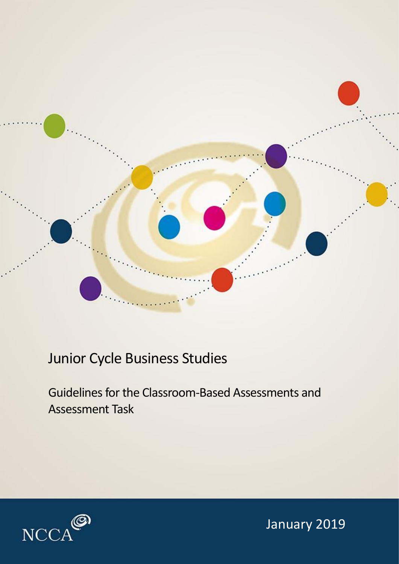

# Junior Cycle Business Studies

Guidelines for the Classroom-Based Assessments and Assessment Task



January 2019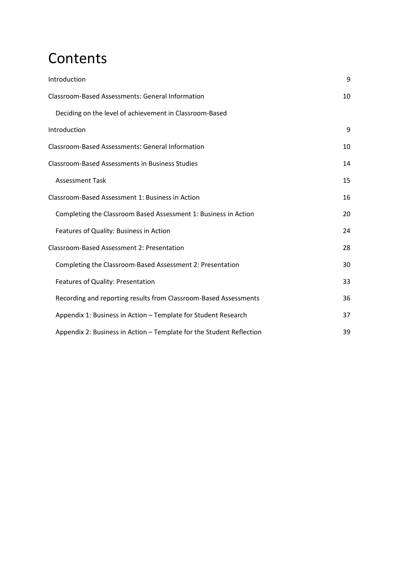# **Contents**

| Introduction                                                         | 9  |
|----------------------------------------------------------------------|----|
| <b>Classroom-Based Assessments: General Information</b>              | 10 |
| Deciding on the level of achievement in Classroom-Based              |    |
| Introduction                                                         | 9  |
| <b>Classroom-Based Assessments: General Information</b>              | 10 |
| <b>Classroom-Based Assessments in Business Studies</b>               | 14 |
| <b>Assessment Task</b>                                               | 15 |
| Classroom-Based Assessment 1: Business in Action                     | 16 |
| Completing the Classroom Based Assessment 1: Business in Action      | 20 |
| Features of Quality: Business in Action                              | 24 |
| Classroom-Based Assessment 2: Presentation                           | 28 |
| Completing the Classroom-Based Assessment 2: Presentation            | 30 |
| Features of Quality: Presentation                                    | 33 |
| Recording and reporting results from Classroom-Based Assessments     | 36 |
| Appendix 1: Business in Action - Template for Student Research       | 37 |
| Appendix 2: Business in Action – Template for the Student Reflection | 39 |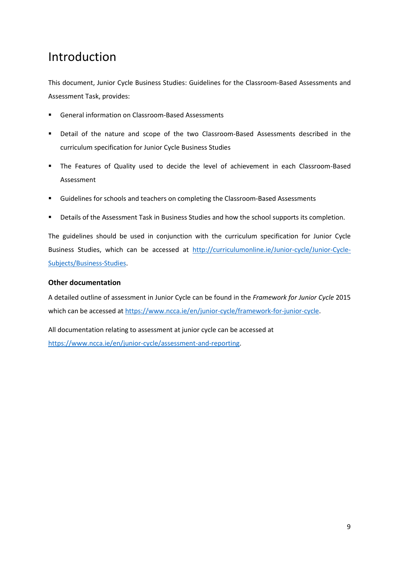## <span id="page-4-0"></span>Introduction

This document, Junior Cycle Business Studies: Guidelines for the Classroom-Based Assessments and Assessment Task, provides:

- General information on Classroom-Based Assessments
- Detail of the nature and scope of the two Classroom-Based Assessments described in the curriculum specification for Junior Cycle Business Studies
- The Features of Quality used to decide the level of achievement in each Classroom-Based Assessment
- Guidelines for schools and teachers on completing the Classroom-Based Assessments
- Details of the Assessment Task in Business Studies and how the school supports its completion.

The guidelines should be used in conjunction with the curriculum specification for Junior Cycle Business Studies, which can be accessed at [http://curriculumonline.ie/Junior-cycle/Junior-Cycle-](http://curriculumonline.ie/Junior-cycle/Junior-Cycle-Subjects/Business-Studies)[Subjects/Business-Studies.](http://curriculumonline.ie/Junior-cycle/Junior-Cycle-Subjects/Business-Studies)

#### **Other documentation**

A detailed outline of assessment in Junior Cycle can be found in the *Framework for Junior Cycle* 2015 which can be accessed at [https://www.ncca.ie/en/junior-cycle/framework-for-junior-cycle.](https://www.ncca.ie/en/junior-cycle/framework-for-junior-cycle)

All documentation relating to assessment at junior cycle can be accessed at [https://www.ncca.ie/en/junior-cycle/assessment-and-reporting.](https://www.ncca.ie/en/junior-cycle/assessment-and-reporting)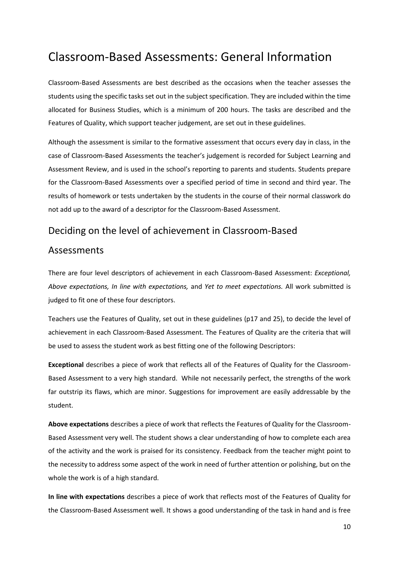## <span id="page-5-0"></span>Classroom-Based Assessments: General Information

Classroom-Based Assessments are best described as the occasions when the teacher assesses the students using the specific tasks set out in the subject specification. They are included within the time allocated for Business Studies, which is a minimum of 200 hours. The tasks are described and the Features of Quality, which support teacher judgement, are set out in these guidelines.

Although the assessment is similar to the formative assessment that occurs every day in class, in the case of Classroom-Based Assessments the teacher's judgement is recorded for Subject Learning and Assessment Review, and is used in the school's reporting to parents and students. Students prepare for the Classroom-Based Assessments over a specified period of time in second and third year. The results of homework or tests undertaken by the students in the course of their normal classwork do not add up to the award of a descriptor for the Classroom-Based Assessment.

### <span id="page-5-1"></span>Deciding on the level of achievement in Classroom-Based

#### Assessments

There are four level descriptors of achievement in each Classroom-Based Assessment: *Exceptional, Above expectations, In line with expectations,* and *Yet to meet expectations.* All work submitted is judged to fit one of these four descriptors.

Teachers use the Features of Quality, set out in these guidelines (p17 and 25), to decide the level of achievement in each Classroom-Based Assessment. The Features of Quality are the criteria that will be used to assess the student work as best fitting one of the following Descriptors:

**Exceptional** describes a piece of work that reflects all of the Features of Quality for the Classroom-Based Assessment to a very high standard. While not necessarily perfect, the strengths of the work far outstrip its flaws, which are minor. Suggestions for improvement are easily addressable by the student.

**Above expectations** describes a piece of work that reflects the Features of Quality for the Classroom-Based Assessment very well. The student shows a clear understanding of how to complete each area of the activity and the work is praised for its consistency. Feedback from the teacher might point to the necessity to address some aspect of the work in need of further attention or polishing, but on the whole the work is of a high standard.

**In line with expectations** describes a piece of work that reflects most of the Features of Quality for the Classroom-Based Assessment well. It shows a good understanding of the task in hand and is free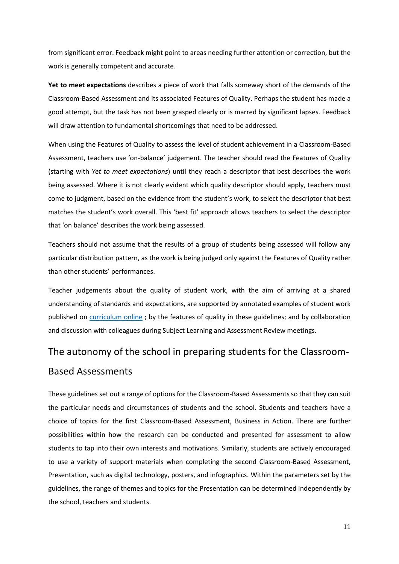from significant error. Feedback might point to areas needing further attention or correction, but the work is generally competent and accurate.

**Yet to meet expectations** describes a piece of work that falls someway short of the demands of the Classroom-Based Assessment and its associated Features of Quality. Perhaps the student has made a good attempt, but the task has not been grasped clearly or is marred by significant lapses. Feedback will draw attention to fundamental shortcomings that need to be addressed.

When using the Features of Quality to assess the level of student achievement in a Classroom-Based Assessment, teachers use 'on-balance' judgement. The teacher should read the Features of Quality (starting with *Yet to meet expectations*) until they reach a descriptor that best describes the work being assessed. Where it is not clearly evident which quality descriptor should apply, teachers must come to judgment, based on the evidence from the student's work, to select the descriptor that best matches the student's work overall. This 'best fit' approach allows teachers to select the descriptor that 'on balance' describes the work being assessed.

Teachers should not assume that the results of a group of students being assessed will follow any particular distribution pattern, as the work is being judged only against the Features of Quality rather than other students' performances.

Teacher judgements about the quality of student work, with the aim of arriving at a shared understanding of standards and expectations, are supported by annotated examples of student work published on [curriculum online](https://curriculumonline.ie/Junior-cycle/Junior-Cycle-Subjects/Business-Studies/Examples-of-Student-Work/Personal-Finance/Wage-slip) ; by the features of quality in these guidelines; and by collaboration and discussion with colleagues during Subject Learning and Assessment Review meetings.

## The autonomy of the school in preparing students for the Classroom-

#### Based Assessments

These guidelines set out a range of options for the Classroom-Based Assessments so that they can suit the particular needs and circumstances of students and the school. Students and teachers have a choice of topics for the first Classroom-Based Assessment, Business in Action. There are further possibilities within how the research can be conducted and presented for assessment to allow students to tap into their own interests and motivations. Similarly, students are actively encouraged to use a variety of support materials when completing the second Classroom-Based Assessment, Presentation, such as digital technology, posters, and infographics. Within the parameters set by the guidelines, the range of themes and topics for the Presentation can be determined independently by the school, teachers and students.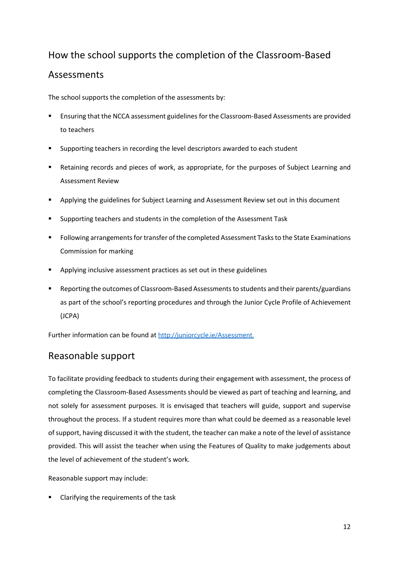## How the school supports the completion of the Classroom-Based

### **Assessments**

The school supports the completion of the assessments by:

- Ensuring that the NCCA assessment guidelines for the Classroom-Based Assessments are provided to teachers
- Supporting teachers in recording the level descriptors awarded to each student
- Retaining records and pieces of work, as appropriate, for the purposes of Subject Learning and Assessment Review
- Applying the guidelines for Subject Learning and Assessment Review set out in this document
- Supporting teachers and students in the completion of the Assessment Task
- Following arrangements for transfer of the completed Assessment Tasks to the State Examinations Commission for marking
- Applying inclusive assessment practices as set out in these guidelines
- Reporting the outcomes of Classroom-Based Assessments to students and their parents/guardians as part of the school's reporting procedures and through the Junior Cycle Profile of Achievement (JCPA)

Further information can be found at [http://juniorcycle.ie/Assessment.](http://juniorcycle.ie/Assessment)

## Reasonable support

To facilitate providing feedback to students during their engagement with assessment, the process of completing the Classroom-Based Assessments should be viewed as part of teaching and learning, and not solely for assessment purposes. It is envisaged that teachers will guide, support and supervise throughout the process. If a student requires more than what could be deemed as a reasonable level of support, having discussed it with the student, the teacher can make a note of the level of assistance provided. This will assist the teacher when using the Features of Quality to make judgements about the level of achievement of the student's work.

Reasonable support may include:

Clarifying the requirements of the task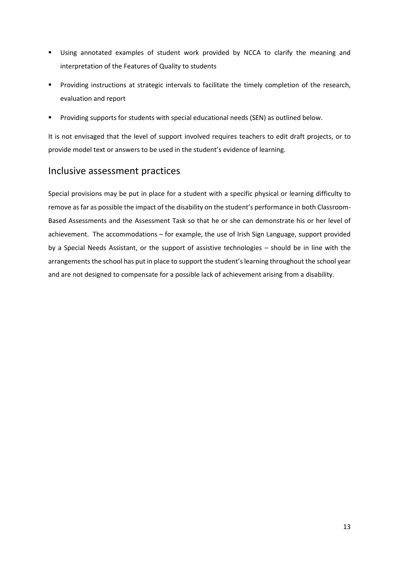- Using annotated examples of student work provided by NCCA to clarify the meaning and interpretation of the Features of Quality to students
- Providing instructions at strategic intervals to facilitate the timely completion of the research, evaluation and report
- Providing supports for students with special educational needs (SEN) as outlined below.

It is not envisaged that the level of support involved requires teachers to edit draft projects, or to provide model text or answers to be used in the student's evidence of learning.

### Inclusive assessment practices

Special provisions may be put in place for a student with a specific physical or learning difficulty to remove as far as possible the impact of the disability on the student's performance in both Classroom-Based Assessments and the Assessment Task so that he or she can demonstrate his or her level of achievement. The accommodations – for example, the use of Irish Sign Language, support provided by a Special Needs Assistant, or the support of assistive technologies – should be in line with the arrangements the school has put in place to support the student's learning throughout the school year and are not designed to compensate for a possible lack of achievement arising from a disability.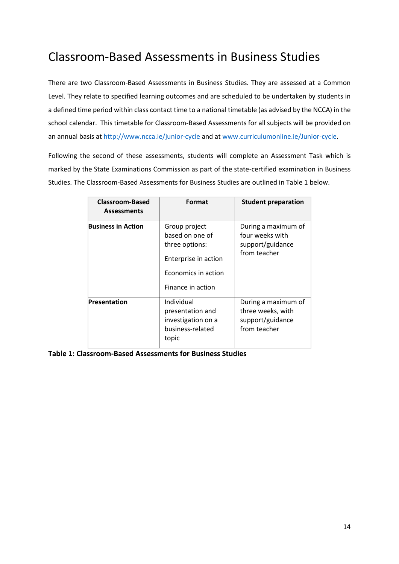## <span id="page-9-0"></span>Classroom-Based Assessments in Business Studies

There are two Classroom-Based Assessments in Business Studies. They are assessed at a Common Level. They relate to specified learning outcomes and are scheduled to be undertaken by students in a defined time period within class contact time to a national timetable (as advised by the NCCA) in the school calendar. This timetable for Classroom-Based Assessments for all subjects will be provided on an annual basis a[t http://www.ncca.ie/junior-cycle](http://www.ncca.ie/junior-cycle) and at [www.curriculumonline.ie/Junior-cycle.](http://www.curriculumonline.ie/Junior-cycle)

Following the second of these assessments, students will complete an Assessment Task which is marked by the State Examinations Commission as part of the state-certified examination in Business Studies. The Classroom-Based Assessments for Business Studies are outlined in Table 1 below.

| <b>Classroom-Based</b><br><b>Assessments</b> | Format                                                                                                                 | <b>Student preparation</b>                                                   |
|----------------------------------------------|------------------------------------------------------------------------------------------------------------------------|------------------------------------------------------------------------------|
| <b>Business in Action</b>                    | Group project<br>based on one of<br>three options:<br>Enterprise in action<br>Economics in action<br>Finance in action | During a maximum of<br>four weeks with<br>support/guidance<br>from teacher   |
| <b>Presentation</b>                          | Individual<br>presentation and<br>investigation on a<br>business-related<br>topic                                      | During a maximum of<br>three weeks, with<br>support/guidance<br>from teacher |

**Table 1: Classroom-Based Assessments for Business Studies**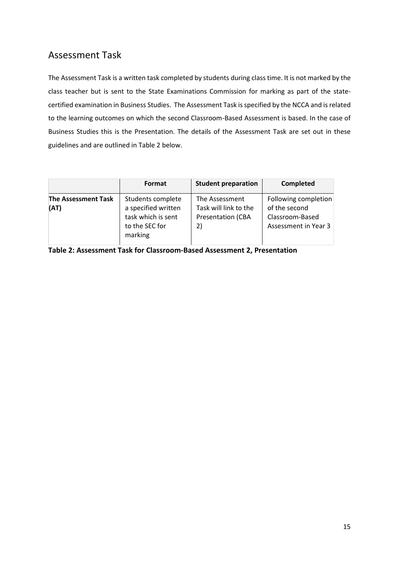## <span id="page-10-0"></span>Assessment Task

The Assessment Task is a written task completed by students during class time. It is not marked by the class teacher but is sent to the State Examinations Commission for marking as part of the statecertified examination in Business Studies. The Assessment Task is specified by the NCCA and is related to the learning outcomes on which the second Classroom-Based Assessment is based. In the case of Business Studies this is the Presentation. The details of the Assessment Task are set out in these guidelines and are outlined in Table 2 below.

|                                    | Format                                                                                      | <b>Student preparation</b>                                                | Completed                                                                        |
|------------------------------------|---------------------------------------------------------------------------------------------|---------------------------------------------------------------------------|----------------------------------------------------------------------------------|
| <b>The Assessment Task</b><br>(AT) | Students complete<br>a specified written<br>task which is sent<br>to the SEC for<br>marking | The Assessment<br>Task will link to the<br><b>Presentation (CBA</b><br>2) | Following completion<br>of the second<br>Classroom-Based<br>Assessment in Year 3 |

**Table 2: Assessment Task for Classroom-Based Assessment 2, Presentation**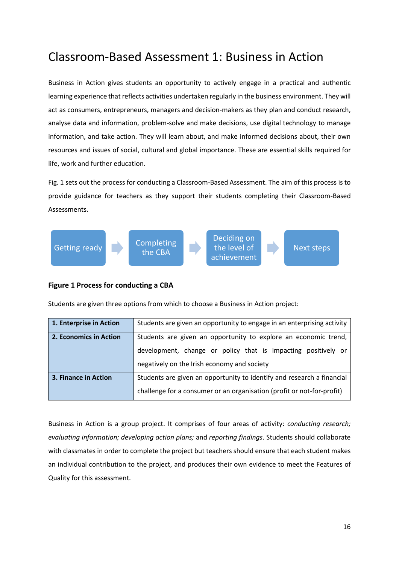## <span id="page-11-0"></span>Classroom-Based Assessment 1: Business in Action

Business in Action gives students an opportunity to actively engage in a practical and authentic learning experience that reflects activities undertaken regularly in the business environment. They will act as consumers, entrepreneurs, managers and decision-makers as they plan and conduct research, analyse data and information, problem-solve and make decisions, use digital technology to manage information, and take action. They will learn about, and make informed decisions about, their own resources and issues of social, cultural and global importance. These are essential skills required for life, work and further education.

Fig. 1 sets out the process for conducting a Classroom-Based Assessment. The aim of this process is to provide guidance for teachers as they support their students completing their Classroom-Based Assessments.



#### **Figure 1 Process for conducting a CBA**

Students are given three options from which to choose a Business in Action project:

| 1. Enterprise in Action | Students are given an opportunity to engage in an enterprising activity |  |
|-------------------------|-------------------------------------------------------------------------|--|
| 2. Economics in Action  | Students are given an opportunity to explore an economic trend,         |  |
|                         | development, change or policy that is impacting positively or           |  |
|                         | negatively on the Irish economy and society                             |  |
| 3. Finance in Action    | Students are given an opportunity to identify and research a financial  |  |
|                         | challenge for a consumer or an organisation (profit or not-for-profit)  |  |

Business in Action is a group project. It comprises of four areas of activity: *conducting research; evaluating information; developing action plans;* and *reporting findings*. Students should collaborate with classmates in order to complete the project but teachers should ensure that each student makes an individual contribution to the project, and produces their own evidence to meet the Features of Quality for this assessment.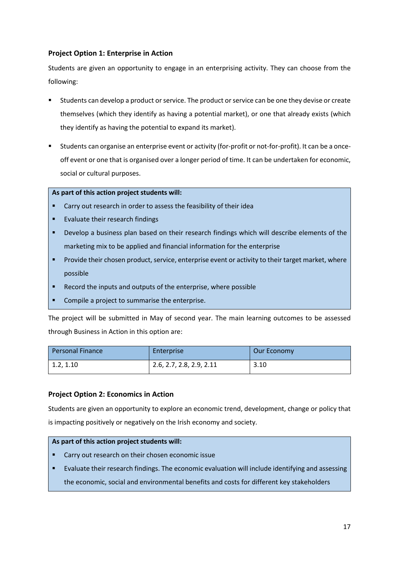#### **Project Option 1: Enterprise in Action**

Students are given an opportunity to engage in an enterprising activity. They can choose from the following:

- Students can develop a product or service. The product or service can be one they devise or create themselves (which they identify as having a potential market), or one that already exists (which they identify as having the potential to expand its market).
- Students can organise an enterprise event or activity (for-profit or not-for-profit). It can be a onceoff event or one that is organised over a longer period of time. It can be undertaken for economic, social or cultural purposes.

#### **As part of this action project students will:**

- Carry out research in order to assess the feasibility of their idea
- **Evaluate their research findings**
- Develop a business plan based on their research findings which will describe elements of the marketing mix to be applied and financial information for the enterprise
- Provide their chosen product, service, enterprise event or activity to their target market, where possible
- Record the inputs and outputs of the enterprise, where possible
- Compile a project to summarise the enterprise.

The project will be submitted in May of second year. The main learning outcomes to be assessed through Business in Action in this option are:

| <b>Personal Finance</b> | Enterprise               | Our Economy |
|-------------------------|--------------------------|-------------|
| 1.2, 1.10               | 2.6, 2.7, 2.8, 2.9, 2.11 | 3.10        |

#### **Project Option 2: Economics in Action**

Students are given an opportunity to explore an economic trend, development, change or policy that is impacting positively or negatively on the Irish economy and society.

#### **As part of this action project students will:**

- Carry out research on their chosen economic issue
- Evaluate their research findings. The economic evaluation will include identifying and assessing the economic, social and environmental benefits and costs for different key stakeholders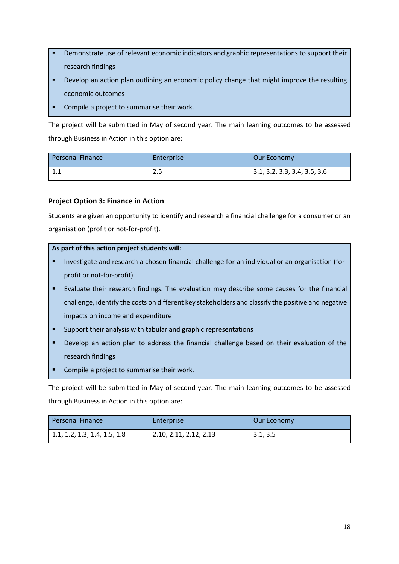- Demonstrate use of relevant economic indicators and graphic representations to support their research findings
- Develop an action plan outlining an economic policy change that might improve the resulting economic outcomes
- Compile a project to summarise their work.

The project will be submitted in May of second year. The main learning outcomes to be assessed through Business in Action in this option are:

| <b>Personal Finance</b> | Enterprise | Our Economy                  |
|-------------------------|------------|------------------------------|
|                         | າ ⊏<br>2.J | 3.1, 3.2, 3.3, 3.4, 3.5, 3.6 |

#### **Project Option 3: Finance in Action**

Students are given an opportunity to identify and research a financial challenge for a consumer or an organisation (profit or not-for-profit).

#### **As part of this action project students will:**

- Investigate and research a chosen financial challenge for an individual or an organisation (forprofit or not-for-profit)
- Evaluate their research findings. The evaluation may describe some causes for the financial challenge, identify the costs on different key stakeholders and classify the positive and negative impacts on income and expenditure
- Support their analysis with tabular and graphic representations
- Develop an action plan to address the financial challenge based on their evaluation of the research findings
- Compile a project to summarise their work.

The project will be submitted in May of second year. The main learning outcomes to be assessed through Business in Action in this option are:

| <b>Personal Finance</b>      | Enterprise             | Our Economy |
|------------------------------|------------------------|-------------|
| 1.1, 1.2, 1.3, 1.4, 1.5, 1.8 | 2.10, 2.11, 2.12, 2.13 | 3.1, 3.5    |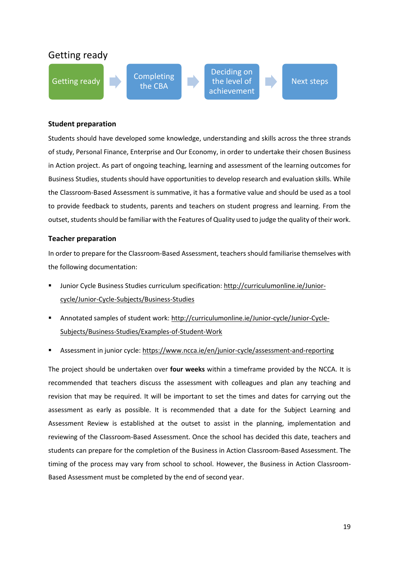

#### **Student preparation**

Students should have developed some knowledge, understanding and skills across the three strands of study, Personal Finance, Enterprise and Our Economy, in order to undertake their chosen Business in Action project. As part of ongoing teaching, learning and assessment of the learning outcomes for Business Studies, students should have opportunities to develop research and evaluation skills. While the Classroom-Based Assessment is summative, it has a formative value and should be used as a tool to provide feedback to students, parents and teachers on student progress and learning. From the outset, students should be familiar with the Features of Quality used to judge the quality of their work.

#### **Teacher preparation**

In order to prepare for the Classroom-Based Assessment, teachers should familiarise themselves with the following documentation:

- Junior Cycle Business Studies curriculum specification: [http://curriculumonline.ie/Junior](http://curriculumonline.ie/Junior-cycle/Junior-Cycle-Subjects/Business-Studies)[cycle/Junior-Cycle-Subjects/Business-Studies](http://curriculumonline.ie/Junior-cycle/Junior-Cycle-Subjects/Business-Studies)
- Annotated samples of student work: http://curriculumonline.ie/Junior-cycle/Junior-Cycle-Subjects/Business-Studies/Examples-of-Student-Work
- Assessment in junior cycle[: https://www.ncca.ie/en/junior-cycle/assessment-and-reporting](https://www.ncca.ie/en/junior-cycle/assessment-and-reporting)

The project should be undertaken over **four weeks** within a timeframe provided by the NCCA. It is recommended that teachers discuss the assessment with colleagues and plan any teaching and revision that may be required. It will be important to set the times and dates for carrying out the assessment as early as possible. It is recommended that a date for the Subject Learning and Assessment Review is established at the outset to assist in the planning, implementation and reviewing of the Classroom-Based Assessment. Once the school has decided this date, teachers and students can prepare for the completion of the Business in Action Classroom-Based Assessment. The timing of the process may vary from school to school. However, the Business in Action Classroom-Based Assessment must be completed by the end of second year.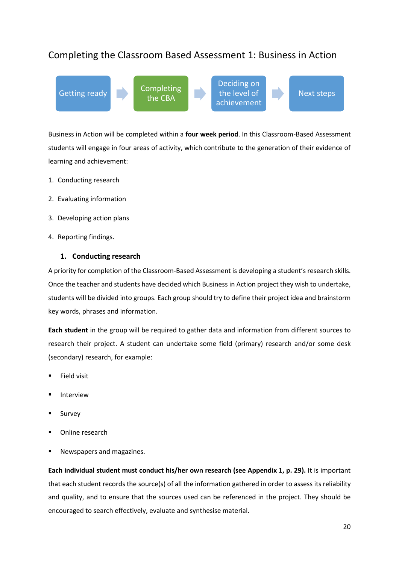## <span id="page-15-0"></span>Completing the Classroom Based Assessment 1: Business in Action

Getting ready **Completing** the CBA Deciding on the level of achievement Next steps

Business in Action will be completed within a **four week period**. In this Classroom-Based Assessment students will engage in four areas of activity, which contribute to the generation of their evidence of learning and achievement:

- 1. Conducting research
- 2. Evaluating information
- 3. Developing action plans
- 4. Reporting findings.

#### **1. Conducting research**

A priority for completion of the Classroom-Based Assessment is developing a student's research skills. Once the teacher and students have decided which Business in Action project they wish to undertake, students will be divided into groups. Each group should try to define their project idea and brainstorm key words, phrases and information.

**Each student** in the group will be required to gather data and information from different sources to research their project. A student can undertake some field (primary) research and/or some desk (secondary) research, for example:

- **Field visit**
- **Interview**
- **Survey**
- Online research
- Newspapers and magazines.

**Each individual student must conduct his/her own research (see Appendix 1, p. 29).** It is important that each student records the source(s) of all the information gathered in order to assess its reliability and quality, and to ensure that the sources used can be referenced in the project. They should be encouraged to search effectively, evaluate and synthesise material.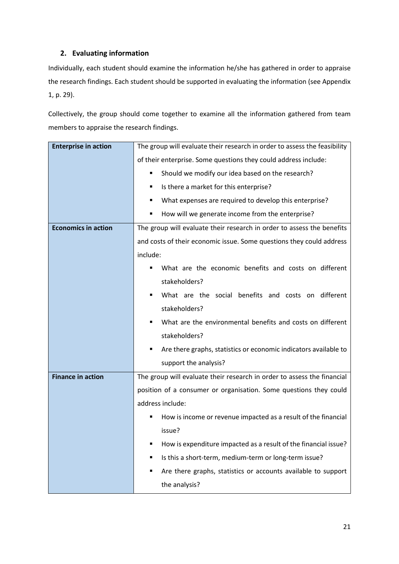#### **2. Evaluating information**

Individually, each student should examine the information he/she has gathered in order to appraise the research findings. Each student should be supported in evaluating the information (see Appendix 1, p. 29).

Collectively, the group should come together to examine all the information gathered from team members to appraise the research findings.

| <b>Enterprise in action</b> | The group will evaluate their research in order to assess the feasibility |
|-----------------------------|---------------------------------------------------------------------------|
|                             | of their enterprise. Some questions they could address include:           |
|                             | Should we modify our idea based on the research?<br>٠                     |
|                             | Is there a market for this enterprise?<br>٠                               |
|                             | What expenses are required to develop this enterprise?<br>٠               |
|                             | How will we generate income from the enterprise?<br>٠                     |
| <b>Economics in action</b>  | The group will evaluate their research in order to assess the benefits    |
|                             | and costs of their economic issue. Some questions they could address      |
|                             | include:                                                                  |
|                             | What are the economic benefits and costs on different<br>٠                |
|                             | stakeholders?                                                             |
|                             | What are the social benefits and costs on different<br>٠                  |
|                             | stakeholders?                                                             |
|                             | What are the environmental benefits and costs on different<br>٠           |
|                             | stakeholders?                                                             |
|                             | Are there graphs, statistics or economic indicators available to<br>٠     |
|                             | support the analysis?                                                     |
| <b>Finance in action</b>    | The group will evaluate their research in order to assess the financial   |
|                             | position of a consumer or organisation. Some questions they could         |
|                             | address include:                                                          |
|                             | How is income or revenue impacted as a result of the financial            |
|                             | issue?                                                                    |
|                             | How is expenditure impacted as a result of the financial issue?           |
|                             | Is this a short-term, medium-term or long-term issue?                     |
|                             | Are there graphs, statistics or accounts available to support             |
|                             | the analysis?                                                             |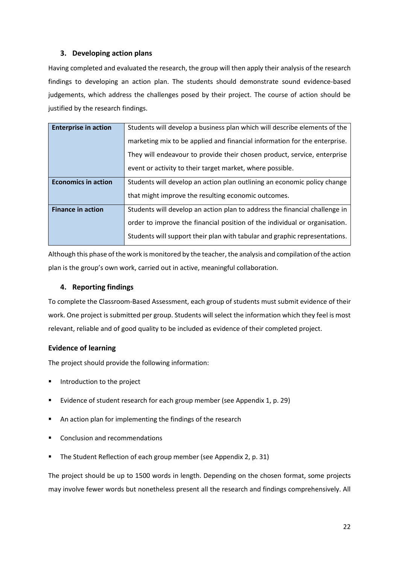#### **3. Developing action plans**

Having completed and evaluated the research, the group will then apply their analysis of the research findings to developing an action plan. The students should demonstrate sound evidence-based judgements, which address the challenges posed by their project. The course of action should be justified by the research findings.

| <b>Enterprise in action</b> | Students will develop a business plan which will describe elements of the  |
|-----------------------------|----------------------------------------------------------------------------|
|                             |                                                                            |
|                             | marketing mix to be applied and financial information for the enterprise.  |
|                             |                                                                            |
|                             | They will endeavour to provide their chosen product, service, enterprise   |
|                             |                                                                            |
|                             | event or activity to their target market, where possible.                  |
|                             |                                                                            |
| <b>Economics in action</b>  | Students will develop an action plan outlining an economic policy change   |
|                             |                                                                            |
|                             | that might improve the resulting economic outcomes.                        |
|                             |                                                                            |
| <b>Finance in action</b>    | Students will develop an action plan to address the financial challenge in |
|                             |                                                                            |
|                             | order to improve the financial position of the individual or organisation. |
|                             |                                                                            |
|                             | Students will support their plan with tabular and graphic representations. |
|                             |                                                                            |

Although this phase of the work is monitored by the teacher, the analysis and compilation of the action plan is the group's own work, carried out in active, meaningful collaboration.

#### **4. Reporting findings**

To complete the Classroom-Based Assessment, each group of students must submit evidence of their work. One project is submitted per group. Students will select the information which they feel is most relevant, reliable and of good quality to be included as evidence of their completed project.

#### **Evidence of learning**

The project should provide the following information:

- Introduction to the project
- Evidence of student research for each group member (see Appendix 1, p. 29)
- An action plan for implementing the findings of the research
- Conclusion and recommendations
- The Student Reflection of each group member (see Appendix 2, p. 31)

The project should be up to 1500 words in length. Depending on the chosen format, some projects may involve fewer words but nonetheless present all the research and findings comprehensively. All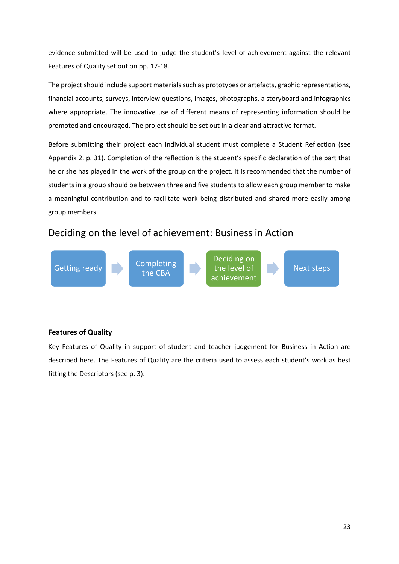evidence submitted will be used to judge the student's level of achievement against the relevant Features of Quality set out on pp. 17-18.

The project should include support materials such as prototypes or artefacts, graphic representations, financial accounts, surveys, interview questions, images, photographs, a storyboard and infographics where appropriate. The innovative use of different means of representing information should be promoted and encouraged. The project should be set out in a clear and attractive format.

Before submitting their project each individual student must complete a Student Reflection (see Appendix 2, p. 31). Completion of the reflection is the student's specific declaration of the part that he or she has played in the work of the group on the project. It is recommended that the number of students in a group should be between three and five students to allow each group member to make a meaningful contribution and to facilitate work being distributed and shared more easily among group members.

## Deciding on the level of achievement: Business in Action



#### **Features of Quality**

Key Features of Quality in support of student and teacher judgement for Business in Action are described here. The Features of Quality are the criteria used to assess each student's work as best fitting the Descriptors (see p. 3).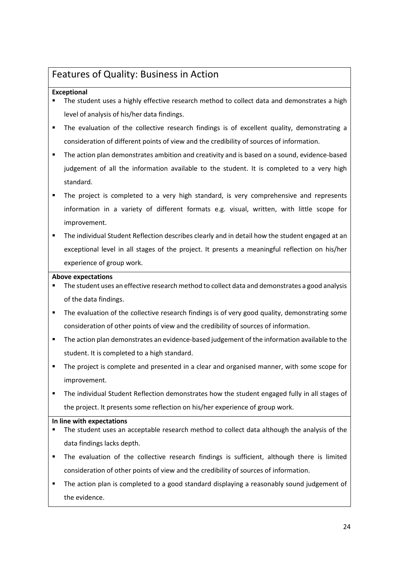## <span id="page-19-0"></span>Features of Quality: Business in Action

#### **Exceptional**

- The student uses a highly effective research method to collect data and demonstrates a high level of analysis of his/her data findings.
- The evaluation of the collective research findings is of excellent quality, demonstrating a consideration of different points of view and the credibility of sources of information.
- **•** The action plan demonstrates ambition and creativity and is based on a sound, evidence-based judgement of all the information available to the student. It is completed to a very high standard.
- The project is completed to a very high standard, is very comprehensive and represents information in a variety of different formats e.g. visual, written, with little scope for improvement.
- The individual Student Reflection describes clearly and in detail how the student engaged at an exceptional level in all stages of the project. It presents a meaningful reflection on his/her experience of group work.

#### **Above expectations**

- The student uses an effective research method to collect data and demonstrates a good analysis of the data findings.
- **•** The evaluation of the collective research findings is of very good quality, demonstrating some consideration of other points of view and the credibility of sources of information.
- **■** The action plan demonstrates an evidence-based judgement of the information available to the student. It is completed to a high standard.
- The project is complete and presented in a clear and organised manner, with some scope for improvement.
- The individual Student Reflection demonstrates how the student engaged fully in all stages of the project. It presents some reflection on his/her experience of group work.

#### **In line with expectations**

- The student uses an acceptable research method to collect data although the analysis of the data findings lacks depth.
- The evaluation of the collective research findings is sufficient, although there is limited consideration of other points of view and the credibility of sources of information.
- The action plan is completed to a good standard displaying a reasonably sound judgement of the evidence.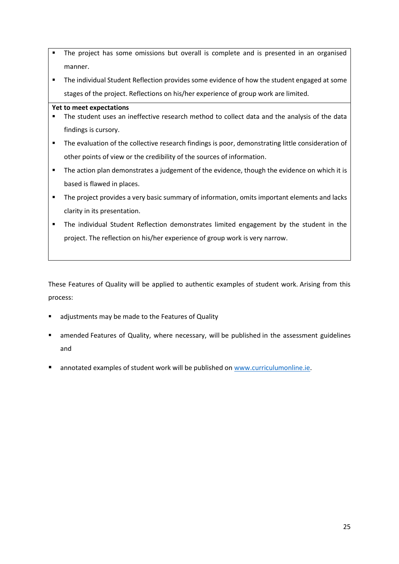- **•** The project has some omissions but overall is complete and is presented in an organised manner.
- The individual Student Reflection provides some evidence of how the student engaged at some stages of the project. Reflections on his/her experience of group work are limited.

#### **Yet to meet expectations**

- **•** The student uses an ineffective research method to collect data and the analysis of the data findings is cursory.
- The evaluation of the collective research findings is poor, demonstrating little consideration of other points of view or the credibility of the sources of information.
- The action plan demonstrates a judgement of the evidence, though the evidence on which it is based is flawed in places.
- **•** The project provides a very basic summary of information, omits important elements and lacks clarity in its presentation.
- The individual Student Reflection demonstrates limited engagement by the student in the project. The reflection on his/her experience of group work is very narrow.

These Features of Quality will be applied to authentic examples of student work. Arising from this process:

- adjustments may be made to the Features of Quality
- amended Features of Quality, where necessary, will be published in the assessment guidelines and
- annotated examples of student work will be published on [www.curriculumonline.ie.](http://www.curriculumonline.ie/)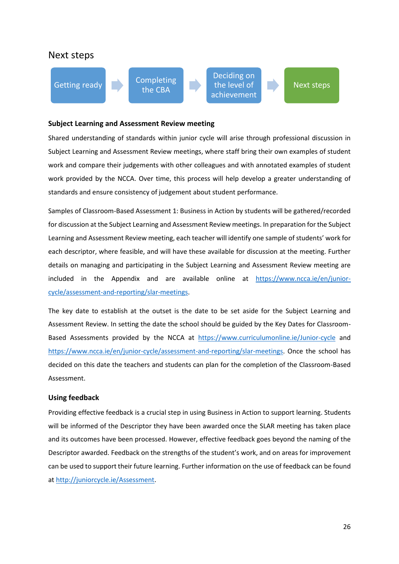#### Next steps



#### **Subject Learning and Assessment Review meeting**

Shared understanding of standards within junior cycle will arise through professional discussion in Subject Learning and Assessment Review meetings, where staff bring their own examples of student work and compare their judgements with other colleagues and with annotated examples of student work provided by the NCCA. Over time, this process will help develop a greater understanding of standards and ensure consistency of judgement about student performance.

Samples of Classroom-Based Assessment 1: Business in Action by students will be gathered/recorded for discussion at the Subject Learning and Assessment Review meetings. In preparation for the Subject Learning and Assessment Review meeting, each teacher will identify one sample of students' work for each descriptor, where feasible, and will have these available for discussion at the meeting. Further details on managing and participating in the Subject Learning and Assessment Review meeting are included in the Appendix and are available online at [https://www.ncca.ie/en/junior](https://www.ncca.ie/en/junior-cycle/assessment-and-reporting/slar-meetings)[cycle/assessment-and-reporting/slar-meetings.](https://www.ncca.ie/en/junior-cycle/assessment-and-reporting/slar-meetings)

The key date to establish at the outset is the date to be set aside for the Subject Learning and Assessment Review. In setting the date the school should be guided by the Key Dates for Classroom-Based Assessments provided by the NCCA at <https://www.curriculumonline.ie/Junior-cycle> and [https://www.ncca.ie/en/junior-cycle/assessment-and-reporting/slar-meetings.](https://www.ncca.ie/en/junior-cycle/assessment-and-reporting/slar-meetings) Once the school has decided on this date the teachers and students can plan for the completion of the Classroom-Based Assessment.

#### **Using feedback**

Providing effective feedback is a crucial step in using Business in Action to support learning. Students will be informed of the Descriptor they have been awarded once the SLAR meeting has taken place and its outcomes have been processed. However, effective feedback goes beyond the naming of the Descriptor awarded. Feedback on the strengths of the student's work, and on areas for improvement can be used to support their future learning. Further information on the use of feedback can be found a[t http://juniorcycle.ie/Assessment.](http://juniorcycle.ie/Assessment)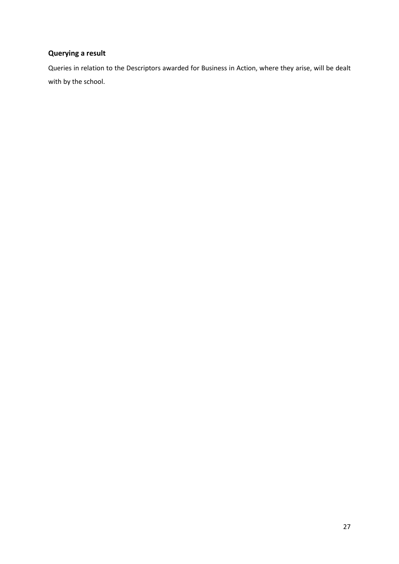## **Querying a result**

Queries in relation to the Descriptors awarded for Business in Action, where they arise, will be dealt with by the school.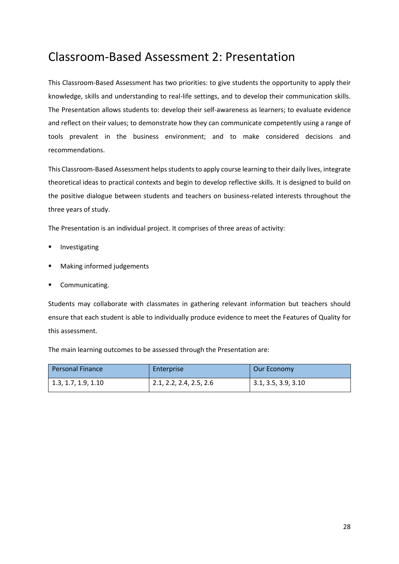## <span id="page-23-0"></span>Classroom-Based Assessment 2: Presentation

This Classroom-Based Assessment has two priorities: to give students the opportunity to apply their knowledge, skills and understanding to real-life settings, and to develop their communication skills. The Presentation allows students to: develop their self-awareness as learners; to evaluate evidence and reflect on their values; to demonstrate how they can communicate competently using a range of tools prevalent in the business environment; and to make considered decisions and recommendations.

This Classroom-Based Assessment helps students to apply course learning to their daily lives, integrate theoretical ideas to practical contexts and begin to develop reflective skills. It is designed to build on the positive dialogue between students and teachers on business-related interests throughout the three years of study.

The Presentation is an individual project. It comprises of three areas of activity:

- Investigating
- Making informed judgements
- Communicating.

Students may collaborate with classmates in gathering relevant information but teachers should ensure that each student is able to individually produce evidence to meet the Features of Quality for this assessment.

The main learning outcomes to be assessed through the Presentation are:

| l Personal Finance  | Enterprise              | Our Economy         |
|---------------------|-------------------------|---------------------|
| 1.3, 1.7, 1.9, 1.10 | 2.1, 2.2, 2.4, 2.5, 2.6 | 3.1, 3.5, 3.9, 3.10 |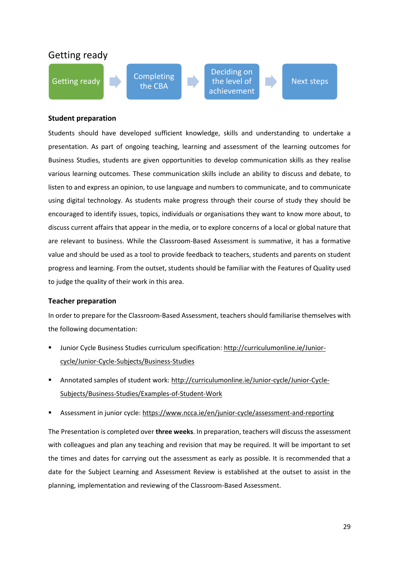## Getting ready



Next steps

#### **Student preparation**

Students should have developed sufficient knowledge, skills and understanding to undertake a presentation. As part of ongoing teaching, learning and assessment of the learning outcomes for Business Studies, students are given opportunities to develop communication skills as they realise various learning outcomes. These communication skills include an ability to discuss and debate, to listen to and express an opinion, to use language and numbers to communicate, and to communicate using digital technology. As students make progress through their course of study they should be encouraged to identify issues, topics, individuals or organisations they want to know more about, to discuss current affairs that appear in the media, or to explore concerns of a local or global nature that are relevant to business. While the Classroom-Based Assessment is summative, it has a formative value and should be used as a tool to provide feedback to teachers, students and parents on student progress and learning. From the outset, students should be familiar with the Features of Quality used to judge the quality of their work in this area.

#### **Teacher preparation**

In order to prepare for the Classroom-Based Assessment, teachers should familiarise themselves with the following documentation:

- Junior Cycle Business Studies curriculum specification: [http://curriculumonline.ie/Junior](http://curriculumonline.ie/Junior-cycle/Junior-Cycle-Subjects/Business-Studies)[cycle/Junior-Cycle-Subjects/Business-Studies](http://curriculumonline.ie/Junior-cycle/Junior-Cycle-Subjects/Business-Studies)
- Annotated samples of student work: http://curriculumonline.ie/Junior-cycle/Junior-Cycle-Subjects/Business-Studies/Examples-of-Student-Work
- Assessment in junior cycle[: https://www.ncca.ie/en/junior-cycle/assessment-and-reporting](https://www.ncca.ie/en/junior-cycle/assessment-and-reporting)

The Presentation is completed over **three weeks**. In preparation, teachers will discuss the assessment with colleagues and plan any teaching and revision that may be required. It will be important to set the times and dates for carrying out the assessment as early as possible. It is recommended that a date for the Subject Learning and Assessment Review is established at the outset to assist in the planning, implementation and reviewing of the Classroom-Based Assessment.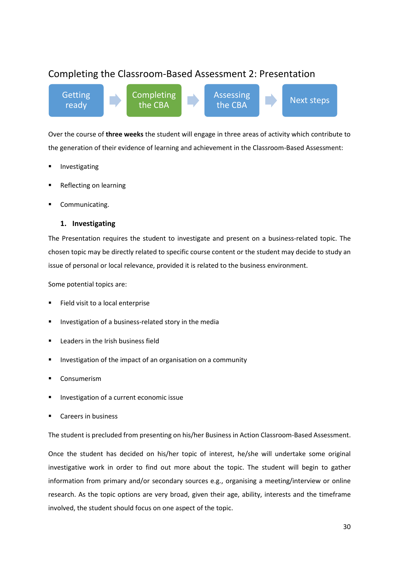## <span id="page-25-0"></span>Completing the Classroom-Based Assessment 2: Presentation

Getting ready Completing the CBA Assessing the CBA **Next steps** 

Over the course of **three weeks** the student will engage in three areas of activity which contribute to the generation of their evidence of learning and achievement in the Classroom-Based Assessment:

- Investigating
- Reflecting on learning
- Communicating.

#### **1. Investigating**

The Presentation requires the student to investigate and present on a business-related topic. The chosen topic may be directly related to specific course content or the student may decide to study an issue of personal or local relevance, provided it is related to the business environment.

Some potential topics are:

- Field visit to a local enterprise
- Investigation of a business-related story in the media
- Leaders in the Irish business field
- Investigation of the impact of an organisation on a community
- **Consumerism**
- Investigation of a current economic issue
- Careers in business

The student is precluded from presenting on his/her Business in Action Classroom-Based Assessment.

Once the student has decided on his/her topic of interest, he/she will undertake some original investigative work in order to find out more about the topic. The student will begin to gather information from primary and/or secondary sources e.g., organising a meeting/interview or online research. As the topic options are very broad, given their age, ability, interests and the timeframe involved, the student should focus on one aspect of the topic.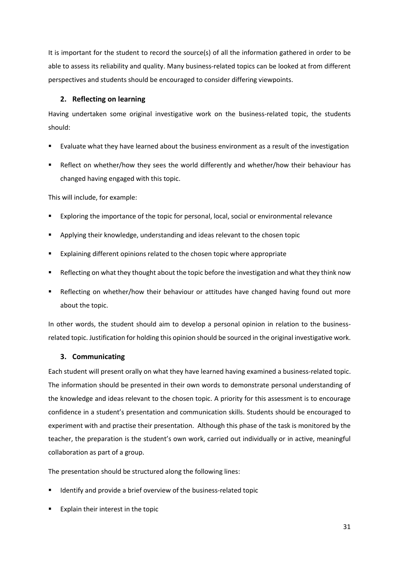It is important for the student to record the source(s) of all the information gathered in order to be able to assess its reliability and quality. Many business-related topics can be looked at from different perspectives and students should be encouraged to consider differing viewpoints.

#### **2. Reflecting on learning**

Having undertaken some original investigative work on the business-related topic, the students should:

- Evaluate what they have learned about the business environment as a result of the investigation
- Reflect on whether/how they sees the world differently and whether/how their behaviour has changed having engaged with this topic.

This will include, for example:

- Exploring the importance of the topic for personal, local, social or environmental relevance
- Applying their knowledge, understanding and ideas relevant to the chosen topic
- Explaining different opinions related to the chosen topic where appropriate
- Reflecting on what they thought about the topic before the investigation and what they think now
- Reflecting on whether/how their behaviour or attitudes have changed having found out more about the topic.

In other words, the student should aim to develop a personal opinion in relation to the businessrelated topic. Justification for holding this opinion should be sourced in the original investigative work.

#### **3. Communicating**

Each student will present orally on what they have learned having examined a business-related topic. The information should be presented in their own words to demonstrate personal understanding of the knowledge and ideas relevant to the chosen topic. A priority for this assessment is to encourage confidence in a student's presentation and communication skills. Students should be encouraged to experiment with and practise their presentation. Although this phase of the task is monitored by the teacher, the preparation is the student's own work, carried out individually or in active, meaningful collaboration as part of a group.

The presentation should be structured along the following lines:

- Identify and provide a brief overview of the business-related topic
- Explain their interest in the topic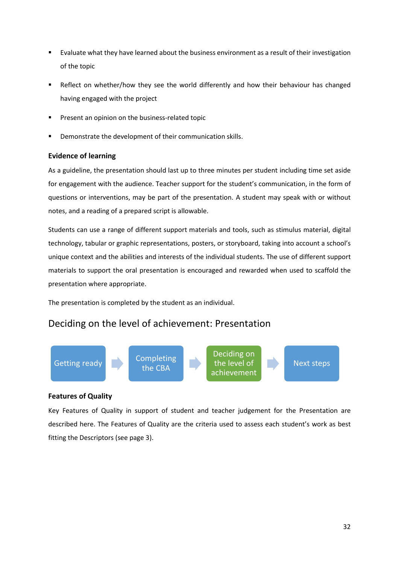- Evaluate what they have learned about the business environment as a result of their investigation of the topic
- Reflect on whether/how they see the world differently and how their behaviour has changed having engaged with the project
- Present an opinion on the business-related topic
- Demonstrate the development of their communication skills.

#### **Evidence of learning**

As a guideline, the presentation should last up to three minutes per student including time set aside for engagement with the audience. Teacher support for the student's communication, in the form of questions or interventions, may be part of the presentation. A student may speak with or without notes, and a reading of a prepared script is allowable.

Students can use a range of different support materials and tools, such as stimulus material, digital technology, tabular or graphic representations, posters, or storyboard, taking into account a school's unique context and the abilities and interests of the individual students. The use of different support materials to support the oral presentation is encouraged and rewarded when used to scaffold the presentation where appropriate.

The presentation is completed by the student as an individual.

### Deciding on the level of achievement: Presentation



#### **Features of Quality**

Key Features of Quality in support of student and teacher judgement for the Presentation are described here. The Features of Quality are the criteria used to assess each student's work as best fitting the Descriptors (see page 3).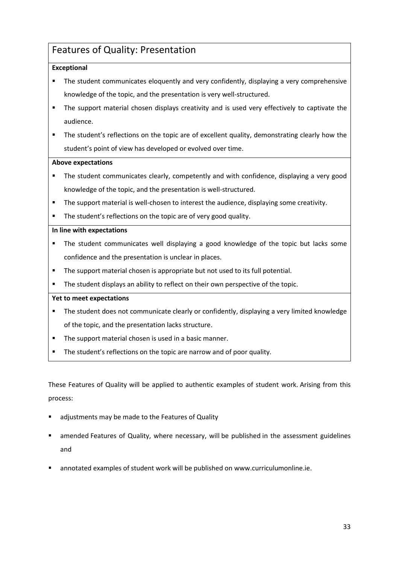## <span id="page-28-0"></span>Features of Quality: Presentation

#### **Exceptional**

- The student communicates eloquently and very confidently, displaying a very comprehensive knowledge of the topic, and the presentation is very well-structured.
- **•** The support material chosen displays creativity and is used very effectively to captivate the audience.
- **•** The student's reflections on the topic are of excellent quality, demonstrating clearly how the student's point of view has developed or evolved over time.

#### **Above expectations**

- The student communicates clearly, competently and with confidence, displaying a very good knowledge of the topic, and the presentation is well-structured.
- The support material is well-chosen to interest the audience, displaying some creativity.
- **The student's reflections on the topic are of very good quality.**

#### **In line with expectations**

- The student communicates well displaying a good knowledge of the topic but lacks some confidence and the presentation is unclear in places.
- **E** The support material chosen is appropriate but not used to its full potential.
- The student displays an ability to reflect on their own perspective of the topic.

#### **Yet to meet expectations**

- **•** The student does not communicate clearly or confidently, displaying a very limited knowledge of the topic, and the presentation lacks structure.
- The support material chosen is used in a basic manner.
- The student's reflections on the topic are narrow and of poor quality.

These Features of Quality will be applied to authentic examples of student work. Arising from this process:

- adjustments may be made to the Features of Quality
- amended Features of Quality, where necessary, will be published in the assessment guidelines and
- annotated examples of student work will be published on www.curriculumonline.ie.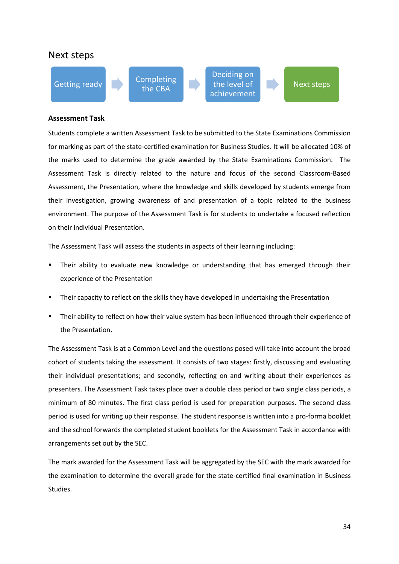#### Next steps



#### **Assessment Task**

Students complete a written Assessment Task to be submitted to the State Examinations Commission for marking as part of the state-certified examination for Business Studies. It will be allocated 10% of the marks used to determine the grade awarded by the State Examinations Commission. The Assessment Task is directly related to the nature and focus of the second Classroom-Based Assessment, the Presentation, where the knowledge and skills developed by students emerge from their investigation, growing awareness of and presentation of a topic related to the business environment. The purpose of the Assessment Task is for students to undertake a focused reflection on their individual Presentation.

The Assessment Task will assess the students in aspects of their learning including:

- Their ability to evaluate new knowledge or understanding that has emerged through their experience of the Presentation
- Their capacity to reflect on the skills they have developed in undertaking the Presentation
- Their ability to reflect on how their value system has been influenced through their experience of the Presentation.

The Assessment Task is at a Common Level and the questions posed will take into account the broad cohort of students taking the assessment. It consists of two stages: firstly, discussing and evaluating their individual presentations; and secondly, reflecting on and writing about their experiences as presenters. The Assessment Task takes place over a double class period or two single class periods, a minimum of 80 minutes. The first class period is used for preparation purposes. The second class period is used for writing up their response. The student response is written into a pro-forma booklet and the school forwards the completed student booklets for the Assessment Task in accordance with arrangements set out by the SEC.

The mark awarded for the Assessment Task will be aggregated by the SEC with the mark awarded for the examination to determine the overall grade for the state-certified final examination in Business Studies.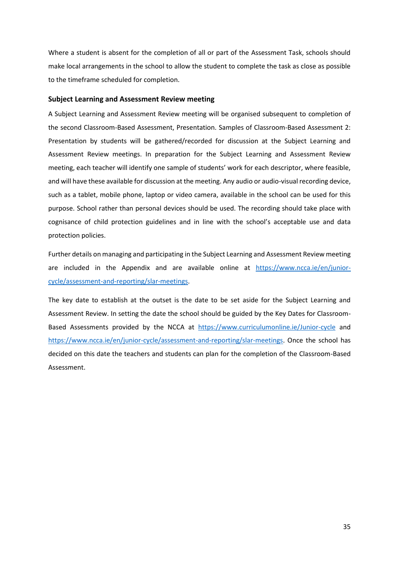Where a student is absent for the completion of all or part of the Assessment Task, schools should make local arrangements in the school to allow the student to complete the task as close as possible to the timeframe scheduled for completion.

#### **Subject Learning and Assessment Review meeting**

A Subject Learning and Assessment Review meeting will be organised subsequent to completion of the second Classroom-Based Assessment, Presentation. Samples of Classroom-Based Assessment 2: Presentation by students will be gathered/recorded for discussion at the Subject Learning and Assessment Review meetings. In preparation for the Subject Learning and Assessment Review meeting, each teacher will identify one sample of students' work for each descriptor, where feasible, and will have these available for discussion at the meeting. Any audio or audio-visual recording device, such as a tablet, mobile phone, laptop or video camera, available in the school can be used for this purpose. School rather than personal devices should be used. The recording should take place with cognisance of child protection guidelines and in line with the school's acceptable use and data protection policies.

Further details on managing and participating in the Subject Learning and Assessment Review meeting are included in the Appendix and are available online at [https://www.ncca.ie/en/junior](https://www.ncca.ie/en/junior-cycle/assessment-and-reporting/slar-meetings)[cycle/assessment-and-reporting/slar-meetings.](https://www.ncca.ie/en/junior-cycle/assessment-and-reporting/slar-meetings)

The key date to establish at the outset is the date to be set aside for the Subject Learning and Assessment Review. In setting the date the school should be guided by the Key Dates for Classroom-Based Assessments provided by the NCCA at <https://www.curriculumonline.ie/Junior-cycle> and [https://www.ncca.ie/en/junior-cycle/assessment-and-reporting/slar-meetings.](https://www.ncca.ie/en/junior-cycle/assessment-and-reporting/slar-meetings) Once the school has decided on this date the teachers and students can plan for the completion of the Classroom-Based Assessment.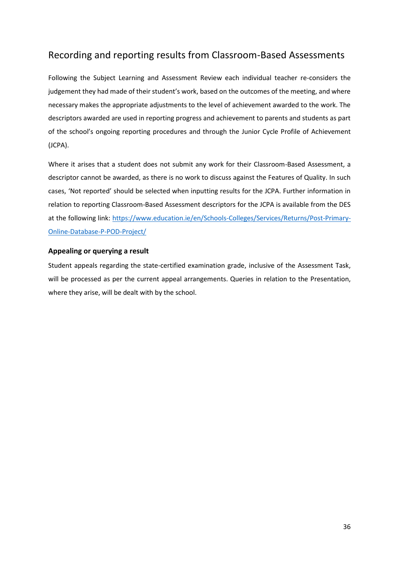## <span id="page-31-0"></span>Recording and reporting results from Classroom-Based Assessments

Following the Subject Learning and Assessment Review each individual teacher re-considers the judgement they had made of their student's work, based on the outcomes of the meeting, and where necessary makes the appropriate adjustments to the level of achievement awarded to the work. The descriptors awarded are used in reporting progress and achievement to parents and students as part of the school's ongoing reporting procedures and through the Junior Cycle Profile of Achievement (JCPA).

Where it arises that a student does not submit any work for their Classroom-Based Assessment, a descriptor cannot be awarded, as there is no work to discuss against the Features of Quality. In such cases, 'Not reported' should be selected when inputting results for the JCPA. Further information in relation to reporting Classroom-Based Assessment descriptors for the JCPA is available from the DES at the following link: [https://www.education.ie/en/Schools-Colleges/Services/Returns/Post-Primary-](https://www.education.ie/en/Schools-Colleges/Services/Returns/Post-Primary-Online-Database-P-POD-Project/)[Online-Database-P-POD-Project/](https://www.education.ie/en/Schools-Colleges/Services/Returns/Post-Primary-Online-Database-P-POD-Project/)

#### **Appealing or querying a result**

Student appeals regarding the state-certified examination grade, inclusive of the Assessment Task, will be processed as per the current appeal arrangements. Queries in relation to the Presentation, where they arise, will be dealt with by the school.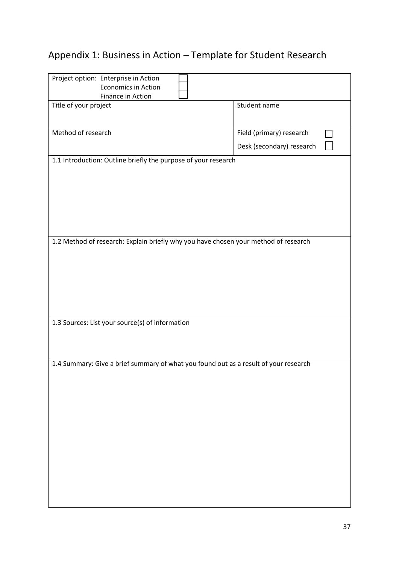## <span id="page-32-0"></span>Appendix 1: Business in Action – Template for Student Research

| Project option: Enterprise in Action                                                 |                           |
|--------------------------------------------------------------------------------------|---------------------------|
| Economics in Action                                                                  |                           |
| Finance in Action                                                                    |                           |
|                                                                                      |                           |
| Title of your project                                                                | Student name              |
|                                                                                      |                           |
|                                                                                      |                           |
| Method of research                                                                   | Field (primary) research  |
|                                                                                      |                           |
|                                                                                      | Desk (secondary) research |
|                                                                                      |                           |
| 1.1 Introduction: Outline briefly the purpose of your research                       |                           |
|                                                                                      |                           |
|                                                                                      |                           |
|                                                                                      |                           |
|                                                                                      |                           |
|                                                                                      |                           |
|                                                                                      |                           |
|                                                                                      |                           |
|                                                                                      |                           |
|                                                                                      |                           |
|                                                                                      |                           |
|                                                                                      |                           |
| 1.2 Method of research: Explain briefly why you have chosen your method of research  |                           |
|                                                                                      |                           |
|                                                                                      |                           |
|                                                                                      |                           |
|                                                                                      |                           |
|                                                                                      |                           |
|                                                                                      |                           |
|                                                                                      |                           |
|                                                                                      |                           |
|                                                                                      |                           |
|                                                                                      |                           |
| 1.3 Sources: List your source(s) of information                                      |                           |
|                                                                                      |                           |
|                                                                                      |                           |
|                                                                                      |                           |
|                                                                                      |                           |
|                                                                                      |                           |
| 1.4 Summary: Give a brief summary of what you found out as a result of your research |                           |
|                                                                                      |                           |
|                                                                                      |                           |
|                                                                                      |                           |
|                                                                                      |                           |
|                                                                                      |                           |
|                                                                                      |                           |
|                                                                                      |                           |
|                                                                                      |                           |
|                                                                                      |                           |
|                                                                                      |                           |
|                                                                                      |                           |
|                                                                                      |                           |
|                                                                                      |                           |
|                                                                                      |                           |
|                                                                                      |                           |
|                                                                                      |                           |
|                                                                                      |                           |
|                                                                                      |                           |
|                                                                                      |                           |
|                                                                                      |                           |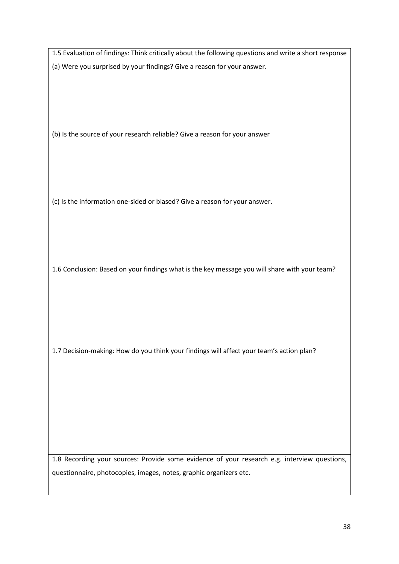1.5 Evaluation of findings: Think critically about the following questions and write a short response (a) Were you surprised by your findings? Give a reason for your answer.

(b) Is the source of your research reliable? Give a reason for your answer

(c) Is the information one-sided or biased? Give a reason for your answer.

1.6 Conclusion: Based on your findings what is the key message you will share with your team?

1.7 Decision-making: How do you think your findings will affect your team's action plan?

1.8 Recording your sources: Provide some evidence of your research e.g. interview questions, questionnaire, photocopies, images, notes, graphic organizers etc.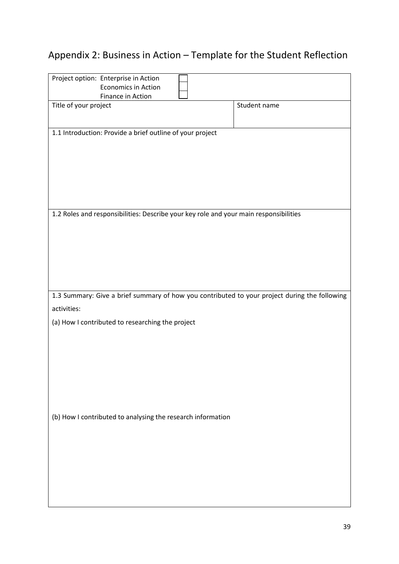## <span id="page-34-0"></span>Appendix 2: Business in Action – Template for the Student Reflection

| Project option: Enterprise in Action                                                          |              |
|-----------------------------------------------------------------------------------------------|--------------|
| <b>Economics in Action</b>                                                                    |              |
| Finance in Action                                                                             |              |
| Title of your project                                                                         | Student name |
|                                                                                               |              |
|                                                                                               |              |
| 1.1 Introduction: Provide a brief outline of your project                                     |              |
|                                                                                               |              |
|                                                                                               |              |
|                                                                                               |              |
|                                                                                               |              |
|                                                                                               |              |
|                                                                                               |              |
|                                                                                               |              |
| 1.2 Roles and responsibilities: Describe your key role and your main responsibilities         |              |
|                                                                                               |              |
|                                                                                               |              |
|                                                                                               |              |
|                                                                                               |              |
|                                                                                               |              |
|                                                                                               |              |
|                                                                                               |              |
| 1.3 Summary: Give a brief summary of how you contributed to your project during the following |              |
| activities:                                                                                   |              |
|                                                                                               |              |
| (a) How I contributed to researching the project                                              |              |
|                                                                                               |              |
|                                                                                               |              |
|                                                                                               |              |
|                                                                                               |              |
|                                                                                               |              |
|                                                                                               |              |
|                                                                                               |              |
|                                                                                               |              |
| (b) How I contributed to analysing the research information                                   |              |
|                                                                                               |              |
|                                                                                               |              |
|                                                                                               |              |
|                                                                                               |              |
|                                                                                               |              |
|                                                                                               |              |
|                                                                                               |              |
|                                                                                               |              |
|                                                                                               |              |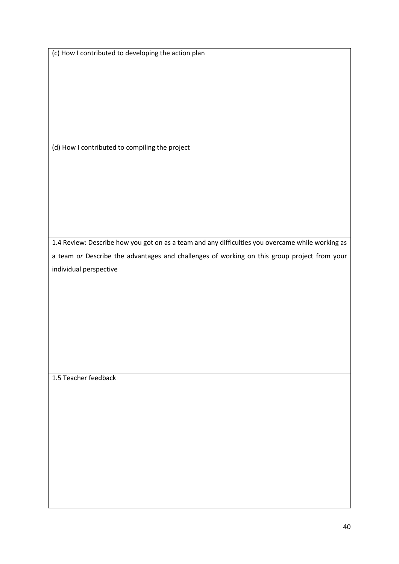|  | (c) How I contributed to developing the action plan |  |
|--|-----------------------------------------------------|--|
|--|-----------------------------------------------------|--|

(d) How I contributed to compiling the project

1.4 Review: Describe how you got on as a team and any difficulties you overcame while working as a team *or* Describe the advantages and challenges of working on this group project from your individual perspective

1.5 Teacher feedback